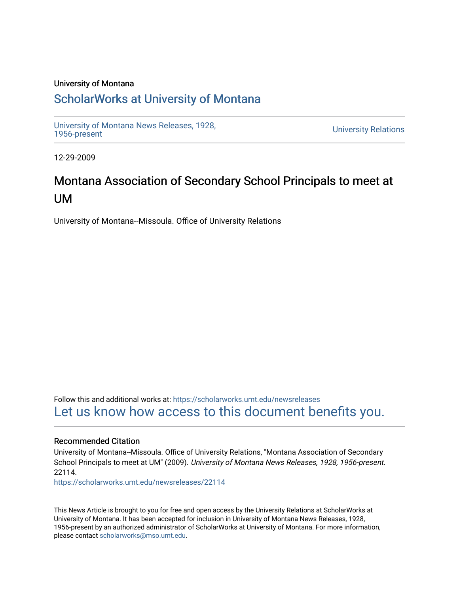#### University of Montana

## [ScholarWorks at University of Montana](https://scholarworks.umt.edu/)

[University of Montana News Releases, 1928,](https://scholarworks.umt.edu/newsreleases) 

**University Relations** 

12-29-2009

# Montana Association of Secondary School Principals to meet at UM

University of Montana--Missoula. Office of University Relations

Follow this and additional works at: [https://scholarworks.umt.edu/newsreleases](https://scholarworks.umt.edu/newsreleases?utm_source=scholarworks.umt.edu%2Fnewsreleases%2F22114&utm_medium=PDF&utm_campaign=PDFCoverPages) [Let us know how access to this document benefits you.](https://goo.gl/forms/s2rGfXOLzz71qgsB2) 

#### Recommended Citation

University of Montana--Missoula. Office of University Relations, "Montana Association of Secondary School Principals to meet at UM" (2009). University of Montana News Releases, 1928, 1956-present. 22114.

[https://scholarworks.umt.edu/newsreleases/22114](https://scholarworks.umt.edu/newsreleases/22114?utm_source=scholarworks.umt.edu%2Fnewsreleases%2F22114&utm_medium=PDF&utm_campaign=PDFCoverPages) 

This News Article is brought to you for free and open access by the University Relations at ScholarWorks at University of Montana. It has been accepted for inclusion in University of Montana News Releases, 1928, 1956-present by an authorized administrator of ScholarWorks at University of Montana. For more information, please contact [scholarworks@mso.umt.edu.](mailto:scholarworks@mso.umt.edu)